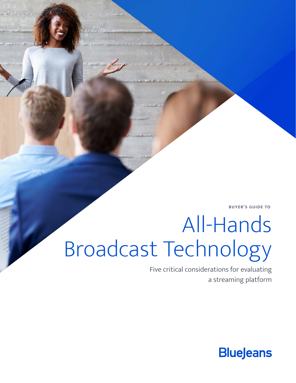**BUYER'S GUIDE TO**

# All-Hands Broadcast Technology

Five critical considerations for evaluating a streaming platform

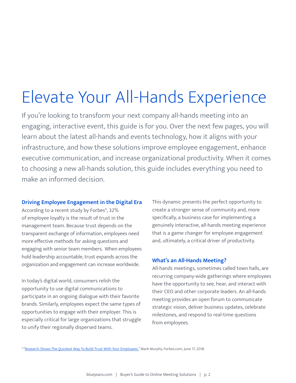# Elevate Your All-Hands Experience

If you're looking to transform your next company all-hands meeting into an engaging, interactive event, this guide is for you. Over the next few pages, you will learn about the latest all-hands and events technology, how it aligns with your infrastructure, and how these solutions improve employee engagement, enhance executive communication, and increase organizational productivity. When it comes to choosing a new all-hands solution, this guide includes everything you need to make an informed decision.

#### **Driving Employee Engagement in the Digital Era**

According to a recent study by Forbes\*, 32% of employee loyalty is the result of trust in the management team. Because trust depends on the transparent exchange of information, employees need more effective methods for asking questions and engaging with senior team members. When employees hold leadership accountable, trust expands across the organization and engagement can increase worldwide.

In today's digital world, consumers relish the opportunity to use digital communications to participate in an ongoing dialogue with their favorite brands. Similarly, employees expect the same types of opportunities to engage with their employer. This is especially critical for large organizations that struggle to unify their regionally dispersed teams.

This dynamic presents the perfect opportunity to create a stronger sense of community and, more specifically, a business case for implementing a genuinely interactive, all-hands meeting experience that is a game changer for employee engagement and, ultimately, a critical driver of productivity.

#### **What's an All-Hands Meeting?**

All-hands meetings, sometimes called town halls, are recurring company-wide gatherings where employees have the opportunity to see, hear, and interact with their CEO and other corporate leaders. An all-hands meeting provides an open forum to communicate strategic vision, deliver business updates, celebrate milestones, and respond to real-time questions from employees.

\* ["Research Shows The Quickest Way To Build Trust With Your Employees,"](https://www.forbes.com/sites/markmurphy/2018/06/17/research-shows-the-quickest-way-to-build-trust-with-your-employees/#38ff27e86757) Mark Murphy, Forbes.com, June 17, 2018.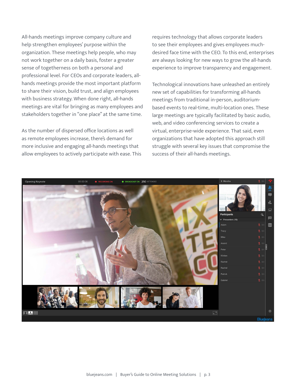All-hands meetings improve company culture and help strengthen employees' purpose within the organization. These meetings help people, who may not work together on a daily basis, foster a greater sense of togetherness on both a personal and professional level. For CEOs and corporate leaders, allhands meetings provide the most important platform to share their vision, build trust, and align employees with business strategy. When done right, all-hands meetings are vital for bringing as many employees and stakeholders together in "one place" at the same time.

As the number of dispersed office locations as well as remote employees increase, there's demand for more inclusive and engaging all-hands meetings that allow employees to actively participate with ease. This requires technology that allows corporate leaders to see their employees and gives employees muchdesired face time with the CEO. To this end, enterprises are always looking for new ways to grow the all-hands experience to improve transparency and engagement.

Technological innovations have unleashed an entirely new set of capabilities for transforming all-hands meetings from traditional in-person, auditoriumbased events to real-time, multi-location ones. These large meetings are typically facilitated by basic audio, web, and video conferencing services to create a virtual, enterprise-wide experience. That said, even organizations that have adopted this approach still struggle with several key issues that compromise the success of their all-hands meetings.

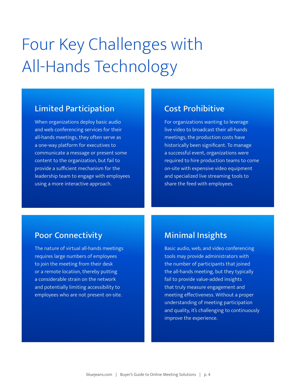# Four Key Challenges with All-Hands Technology

# Limited Participation

When organizations deploy basic audio and web conferencing services for their all-hands meetings, they often serve as a one-way platform for executives to communicate a message or present some content to the organization, but fail to provide a sufficient mechanism for the leadership team to engage with employees using a more interactive approach.

## Cost Prohibitive

For organizations wanting to leverage live video to broadcast their all-hands meetings, the production costs have historically been significant. To manage a successful event, organizations were required to hire production teams to come on-site with expensive video equipment and specialized live streaming tools to share the feed with employees.

## Poor Connectivity

The nature of virtual all-hands meetings requires large numbers of employees to join the meeting from their desk or a remote location, thereby putting a considerable strain on the network and potentially limiting accessibility to employees who are not present on-site.

## Minimal Insights

Basic audio, web, and video conferencing tools may provide administrators with the number of participants that joined the all-hands meeting, but they typically fail to provide value-added insights that truly measure engagement and meeting effectiveness. Without a proper understanding of meeting participation and quality, it's challenging to continuously improve the experience.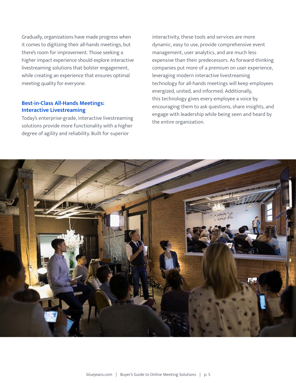Gradually, organizations have made progress when it comes to digitizing their all-hands meetings, but there's room for improvement. Those seeking a higher impact experience should explore interactive livestreaming solutions that bolster engagement, while creating an experience that ensures optimal meeting quality for everyone.

#### **Best-in-Class All-Hands Meetings: Interactive Livestreaming**

Today's enterprise-grade, interactive livestreaming solutions provide more functionality with a higher degree of agility and reliability. Built for superior

interactivity, these tools and services are more dynamic, easy to use, provide comprehensive event management, user analytics, and are much less expensive than their predecessors. As forward-thinking companies put more of a premium on user experience, leveraging modern interactive livestreaming technology for all-hands meetings will keep employees energized, united, and informed. Additionally, this technology gives every employee a voice by encouraging them to ask questions, share insights, and engage with leadership while being seen and heard by the entire organization.

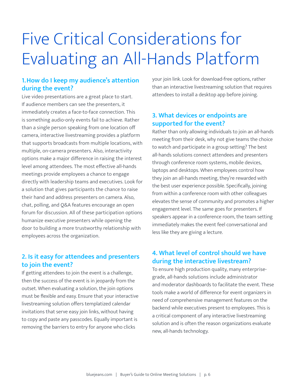# Five Critical Considerations for Evaluating an All-Hands Platform

### **1.How do I keep my audience's attention during the event?**

Live video presentations are a great place to start. If audience members can see the presenters, it immediately creates a face-to-face connection. This is something audio-only events fail to achieve. Rather than a single person speaking from one location off camera, interactive livestreaming provides a platform that supports broadcasts from multiple locations, with multiple, on-camera presenters. Also, interactivity options make a major difference in raising the interest level among attendees. The most effective all-hands meetings provide employees a chance to engage directly with leadership teams and executives. Look for a solution that gives participants the chance to raise their hand and address presenters on camera. Also, chat, polling, and Q&A features encourage an open forum for discussion. All of these participation options humanize executive presenters while opening the door to building a more trustworthy relationship with employees across the organization.

### **2. Is it easy for attendees and presenters to join the event?**

If getting attendees to join the event is a challenge, then the success of the event is in jeopardy from the outset. When evaluating a solution, the join options must be flexible and easy. Ensure that your interactive livestreaming solution offers templatized calendar invitations that serve easy join links, without having to copy and paste any passcodes. Equally important is removing the barriers to entry for anyone who clicks

your join link. Look for download-free options, rather than an interactive livestreaming solution that requires attendees to install a desktop app before joining.

#### **3. What devices or endpoints are supported for the event?**

Rather than only allowing individuals to join an all-hands meeting from their desk, why not give teams the choice to watch and participate in a group setting? The best all-hands solutions connect attendees and presenters through conference room systems, mobile devices, laptops and desktops. When employees control how they join an all-hands meeting, they're rewarded with the best user experience possible. Specifically, joining from within a conference room with other colleagues elevates the sense of community and promotes a higher engagement level. The same goes for presenters. If speakers appear in a conference room, the team setting immediately makes the event feel conversational and less like they are giving a lecture.

#### **4. What level of control should we have during the interactive livestream?**

To ensure high production quality, many enterprisegrade, all-hands solutions include administrator and moderator dashboards to facilitate the event. These tools make a world of difference for event organizers in need of comprehensive management features on the backend while executives present to employees. This is a critical component of any interactive livestreaming solution and is often the reason organizations evaluate new, all-hands technology.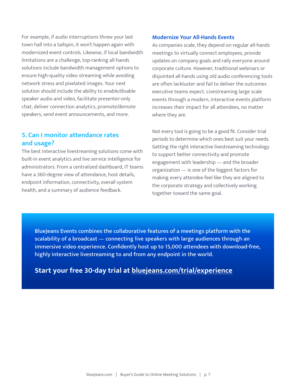For example, if audio interruptions threw your last town hall into a tailspin, it won't happen again with modernized event controls. Likewise, if local bandwidth limitations are a challenge, top-ranking all-hands solutions include bandwidth management options to ensure high-quality video streaming while avoiding network stress and pixelated images. Your next solution should include the ability to enable/disable speaker audio and video, facilitate presenter-only chat, deliver connection analytics, promote/demote speakers, send event announcements, and more.

### **5. Can I monitor attendance rates and usage?**

The best interactive livestreaming solutions come with built-in event analytics and live service intelligence for administrators. From a centralized dashboard, IT teams have a 360-degree view of attendance, host details, endpoint information, connectivity, overall system health, and a summary of audience feedback.

#### **Modernize Your All-Hands Events**

As companies scale, they depend on regular all-hands meetings to virtually connect employees, provide updates on company goals and rally everyone around corporate culture. However, traditional webinars or disjointed all-hands using old audio conferencing tools are often lackluster and fail to deliver the outcomes executive teams expect. Livestreaming large scale events through a modern, interactive events platform increases their impact for all attendees, no matter where they are.

Not every tool is going to be a good fit. Consider trial periods to determine which ones best suit your needs. Getting the right interactive livestreaming technology to support better connectivity and promote engagement with leadership — and the broader organization — is one of the biggest factors for making every attendee feel like they are aligned to the corporate strategy and collectively working together toward the same goal.

BlueJeans Events combines the collaborative features of a meetings platform with the scalability of a broadcast — connecting live speakers with large audiences through an immersive video experience. Confidently host up to 15,000 attendees with download-free, highly interactive livestreaming to and from any endpoint in the world.

### **[Start your free 30-day trial](http://www.bluejeans.com/trial) at [bluejeans.com/trial/experience](https://www.bluejeans.com/trial/experience)**